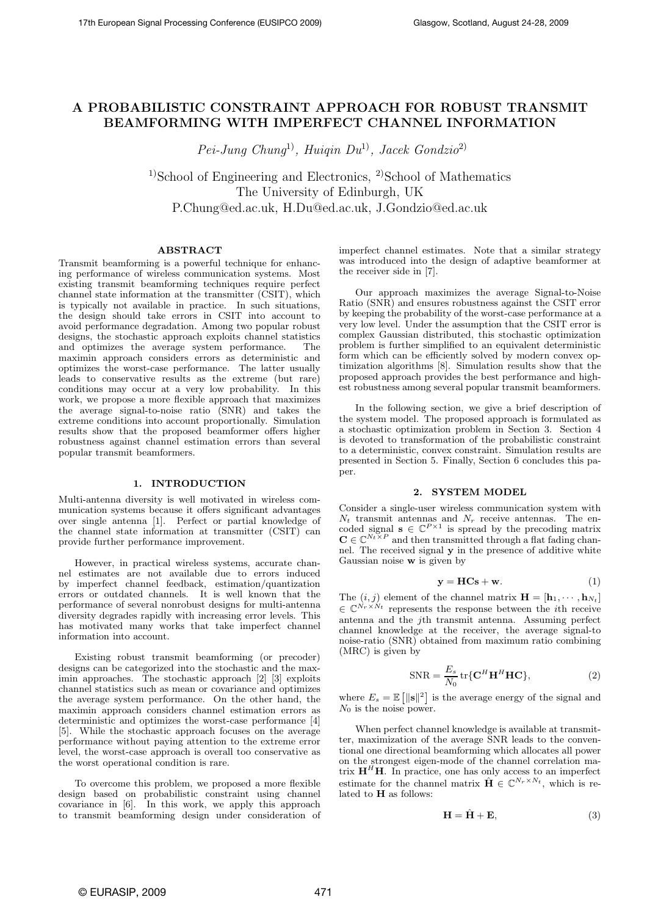# A PROBABILISTIC CONSTRAINT APPROACH FOR ROBUST TRANSMIT BEAMFORMING WITH IMPERFECT CHANNEL INFORMATION

 $Pei$ -Jung Chung<sup>1)</sup>, Huigin Du<sup>1)</sup>, Jacek Gondzio<sup>2)</sup>

 $1$ School of Engineering and Electronics,  $2$ School of Mathematics The University of Edinburgh, UK P.Chung@ed.ac.uk, H.Du@ed.ac.uk, J.Gondzio@ed.ac.uk

# ABSTRACT

Transmit beamforming is a powerful technique for enhancing performance of wireless communication systems. Most existing transmit beamforming techniques require perfect channel state information at the transmitter (CSIT), which is typically not available in practice. In such situations, the design should take errors in CSIT into account to avoid performance degradation. Among two popular robust designs, the stochastic approach exploits channel statistics and optimizes the average system performance. The maximin approach considers errors as deterministic and optimizes the worst-case performance. The latter usually leads to conservative results as the extreme (but rare) conditions may occur at a very low probability. In this work, we propose a more flexible approach that maximizes the average signal-to-noise ratio (SNR) and takes the extreme conditions into account proportionally. Simulation results show that the proposed beamformer offers higher robustness against channel estimation errors than several popular transmit beamformers.

# 1. INTRODUCTION

Multi-antenna diversity is well motivated in wireless communication systems because it offers significant advantages over single antenna [1]. Perfect or partial knowledge of the channel state information at transmitter (CSIT) can provide further performance improvement.

However, in practical wireless systems, accurate channel estimates are not available due to errors induced by imperfect channel feedback, estimation/quantization errors or outdated channels. It is well known that the performance of several nonrobust designs for multi-antenna diversity degrades rapidly with increasing error levels. This has motivated many works that take imperfect channel information into account.

Existing robust transmit beamforming (or precoder) designs can be categorized into the stochastic and the maximin approaches. The stochastic approach [2] [3] exploits channel statistics such as mean or covariance and optimizes the average system performance. On the other hand, the maximin approach considers channel estimation errors as deterministic and optimizes the worst-case performance [4] [5]. While the stochastic approach focuses on the average performance without paying attention to the extreme error level, the worst-case approach is overall too conservative as the worst operational condition is rare.

To overcome this problem, we proposed a more flexible design based on probabilistic constraint using channel covariance in [6]. In this work, we apply this approach to transmit beamforming design under consideration of imperfect channel estimates. Note that a similar strategy was introduced into the design of adaptive beamformer at the receiver side in [7].

Our approach maximizes the average Signal-to-Noise Ratio (SNR) and ensures robustness against the CSIT error by keeping the probability of the worst-case performance at a very low level. Under the assumption that the CSIT error is complex Gaussian distributed, this stochastic optimization problem is further simplified to an equivalent deterministic form which can be efficiently solved by modern convex optimization algorithms [8]. Simulation results show that the proposed approach provides the best performance and highest robustness among several popular transmit beamformers.

In the following section, we give a brief description of the system model. The proposed approach is formulated as a stochastic optimization problem in Section 3. Section 4 is devoted to transformation of the probabilistic constraint to a deterministic, convex constraint. Simulation results are presented in Section 5. Finally, Section 6 concludes this paper.

### 2. SYSTEM MODEL

Consider a single-user wireless communication system with  $N_t$  transmit antennas and  $N_r$  receive antennas. The encoded signal **s** ∈  $\mathbb{C}^{P \times 1}$  is spread by the precoding matrix **C** ∈  $\mathbb{C}^{N_t \times P}$  and then transmitted through a flat fading channel. The received signal y in the presence of additive white Gaussian noise w is given by

$$
y = HCs + w.
$$
 (1)

The  $(i, j)$  element of the channel matrix  $\mathbf{H} = [\mathbf{h}_1, \cdots, \mathbf{h}_{N_t}]$  $\in \mathbb{C}^{\dot{N}_r \times \dot{N}_t}$  represents the response between the *i*th receive antenna and the jth transmit antenna. Assuming perfect channel knowledge at the receiver, the average signal-to noise-ratio (SNR) obtained from maximum ratio combining (MRC) is given by

$$
SNR = \frac{E_s}{N_0} tr{CHHHHC},
$$
 (2)

where  $E_s = \mathbb{E} \left[ ||\mathbf{s}||^2 \right]$  is the average energy of the signal and  $N_0$  is the noise power.

When perfect channel knowledge is available at transmitter, maximization of the average SNR leads to the conventional one directional beamforming which allocates all power on the strongest eigen-mode of the channel correlation matrix  $\mathbf{H}^{H}\mathbf{H}$ . In practice, one has only access to an imperfect estimate for the channel matrix  $\hat{\mathbf{H}} \in \mathbb{C}^{N_r \times N_t}$ , which is related to H as follows:

$$
\mathbf{H} = \hat{\mathbf{H}} + \mathbf{E},\tag{3}
$$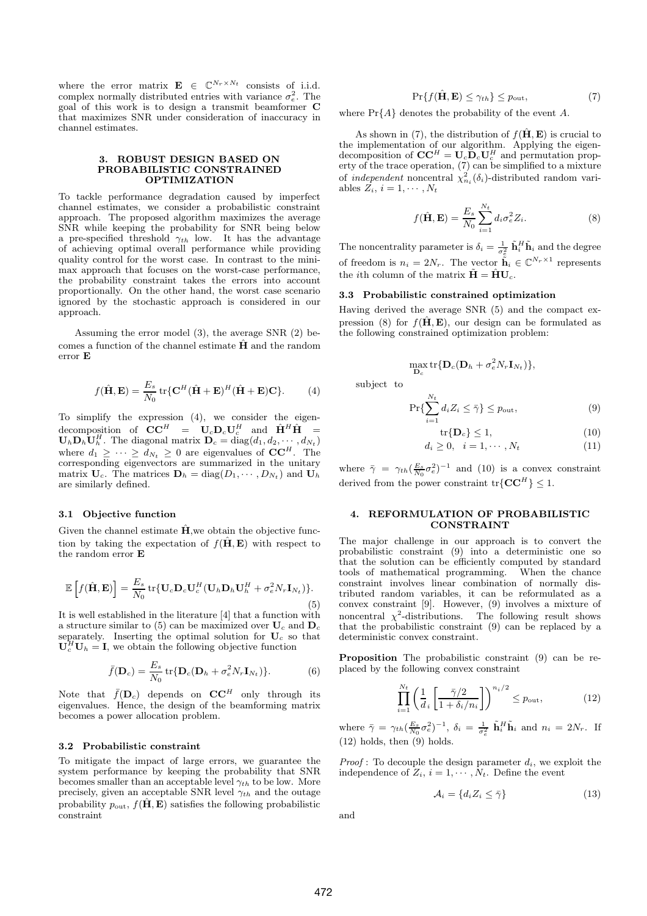where the error matrix  $\mathbf{E} \in \mathbb{C}^{N_r \times N_t}$  consists of i.i.d. complex normally distributed entries with variance  $\sigma_e^2$ . The goal of this work is to design a transmit beamformer C that maximizes SNR under consideration of inaccuracy in channel estimates.

### 3. ROBUST DESIGN BASED ON PROBABILISTIC CONSTRAINED OPTIMIZATION

To tackle performance degradation caused by imperfect channel estimates, we consider a probabilistic constraint approach. The proposed algorithm maximizes the average SNR while keeping the probability for SNR being below a pre-specified threshold  $\gamma_{th}$  low. It has the advantage of achieving optimal overall performance while providing quality control for the worst case. In contrast to the minimax approach that focuses on the worst-case performance, the probability constraint takes the errors into account proportionally. On the other hand, the worst case scenario ignored by the stochastic approach is considered in our approach.

Assuming the error model (3), the average SNR (2) becomes a function of the channel estimate  $\hat{H}$  and the random error E

$$
f(\hat{\mathbf{H}}, \mathbf{E}) = \frac{E_s}{N_0} tr\{\mathbf{C}^H (\hat{\mathbf{H}} + \mathbf{E})^H (\hat{\mathbf{H}} + \mathbf{E}) \mathbf{C}\}.
$$
 (4)

To simplify the expression (4), we consider the eigendecomposition of  $\mathbf{C}\mathbf{C}^H = \mathbf{U}_c \mathbf{D}_c \mathbf{U}_c^H$  and  $\hat{\mathbf{H}}^H \hat{\mathbf{H}} =$  $\mathbf{U}_h \mathbf{D}_h \mathbf{U}_h^H$ . The diagonal matrix  $\mathbf{D}_c = \text{diag}(d_1, d_2, \cdots, d_{N_t})$ where  $d_1 \geq \cdots \geq d_{N_t} \geq 0$  are eigenvalues of  $\mathbf{CC}^H$ . The corresponding eigenvectors are summarized in the unitary matrix  $U_c$ . The matrices  $D_h = \text{diag}(D_1, \dots, D_{N_t})$  and  $U_h$ are similarly defined.

#### 3.1 Objective function

Given the channel estimate  $\hat{H}$ , we obtain the objective function by taking the expectation of  $f(\hat{H}, E)$  with respect to the random error E

$$
\mathbb{E}\left[f(\hat{\mathbf{H}}, \mathbf{E})\right] = \frac{E_s}{N_0} \text{tr}\{\mathbf{U}_c \mathbf{D}_c \mathbf{U}_c^H (\mathbf{U}_h \mathbf{D}_h \mathbf{U}_h^H + \sigma_e^2 N_r \mathbf{I}_{N_t})\}.
$$
\n(5)

It is well established in the literature [4] that a function with a structure similar to (5) can be maximized over  $U_c$  and  $D_c$ separately. Inserting the optimal solution for  $U_c$  so that  $\mathbf{U}_c^H \mathbf{U}_h = \mathbf{I}$ , we obtain the following objective function

$$
\bar{f}(\mathbf{D}_c) = \frac{E_s}{N_0} \operatorname{tr} \{ \mathbf{D}_c (\mathbf{D}_h + \sigma_e^2 N_r \mathbf{I}_{N_t}) \}.
$$
 (6)

Note that  $\bar{f}(\mathbf{D}_c)$  depends on  $\mathbf{CC}^H$  only through its eigenvalues. Hence, the design of the beamforming matrix becomes a power allocation problem.

# 3.2 Probabilistic constraint

To mitigate the impact of large errors, we guarantee the system performance by keeping the probability that SNR becomes smaller than an acceptable level  $\gamma_{th}$  to be low. More precisely, given an acceptable SNR level  $\gamma_{th}$  and the outage probability  $p_{\text{out}}$ ,  $f(\hat{\mathbf{H}}, \mathbf{E})$  satisfies the following probabilistic constraint

 $\Pr\{f(\hat{\mathbf{H}}, \mathbf{E}) \leq \gamma_{th}\} \leq p_{\text{out}},$  (7)

where  $Pr{A}$  denotes the probability of the event A.

As shown in (7), the distribution of  $f(\hat{H}, E)$  is crucial to the implementation of our algorithm. Applying the eigendecomposition of  $CC^H = U_c \tilde{D}_c U_c^H$  and permutation property of the trace operation, (7) can be simplified to a mixture of *independent* noncentral  $\chi^2_{n_i}(\delta_i)$ -distributed random variables  $Z_i$ ,  $i = 1, \cdots, N_t$ 

$$
f(\hat{\mathbf{H}}, \mathbf{E}) = \frac{E_s}{N_0} \sum_{i=1}^{N_t} d_i \sigma_e^2 Z_i.
$$
 (8)

The noncentrality parameter is  $\delta_i = \frac{1}{\sigma_e^2} \tilde{\mathbf{h}}_i^H \tilde{\mathbf{h}}_i$  and the degree of freedom is  $n_i = 2N_r$ . The vector  $\tilde{\tilde{\mathbf{h}}}_i \in \mathbb{C}^{N_r \times 1}$  represents the *i*th column of the matrix  $\tilde{\mathbf{H}} = \hat{\mathbf{H}} \mathbf{U}_c$ .

## 3.3 Probabilistic constrained optimization

Having derived the average SNR (5) and the compact expression (8) for  $f(\hat{H}, E)$ , our design can be formulated as the following constrained optimization problem:

$$
\max_{\mathbf{D}_c} {\rm tr}\{\mathbf{D}_c(\mathbf{D}_h+\sigma_e^2 N_r \mathbf{I}_{N_t})\},
$$

subject to

$$
\Pr\{\sum_{i=1}^{N_t} d_i Z_i \le \bar{\gamma}\} \le p_{\text{out}},\tag{9}
$$

$$
\operatorname{tr}\{\mathbf{D}_c\} \le 1,\tag{10}
$$

$$
d_i \ge 0, \quad i = 1, \cdots, N_t \tag{11}
$$

where  $\bar{\gamma} = \gamma_{th} (\frac{E_s}{N_0} \sigma_e^2)^{-1}$  and (10) is a convex constraint derived from the power constraint  $tr{C}C^{H}$  < 1.

# 4. REFORMULATION OF PROBABILISTIC CONSTRAINT

The major challenge in our approach is to convert the probabilistic constraint (9) into a deterministic one so that the solution can be efficiently computed by standard tools of mathematical programming. When the chance constraint involves linear combination of normally distributed random variables, it can be reformulated as a convex constraint [9]. However, (9) involves a mixture of noncentral  $\chi^2$ -distributions. The following result shows that the probabilistic constraint (9) can be replaced by a deterministic convex constraint.

Proposition The probabilistic constraint (9) can be replaced by the following convex constraint

$$
\prod_{i=1}^{N_t} \left( \frac{1}{d_i} \left[ \frac{\bar{\gamma}/2}{1 + \delta_i / n_i} \right] \right)^{n_i / 2} \le p_{\text{out}},\tag{12}
$$

where  $\bar{\gamma} = \gamma_{th} (\frac{E_s}{N_0} \sigma_e^2)^{-1}$ ,  $\delta_i = \frac{1}{\sigma_e^2} \tilde{\mathbf{h}}_i^H \tilde{\mathbf{h}}_i$  and  $n_i = 2N_r$ . If (12) holds, then (9) holds.

*Proof*: To decouple the design parameter  $d_i$ , we exploit the independence of  $Z_i$ ,  $i = 1, \dots, N_t$ . Define the event

$$
\mathcal{A}_i = \{ d_i Z_i \le \bar{\gamma} \} \tag{13}
$$

and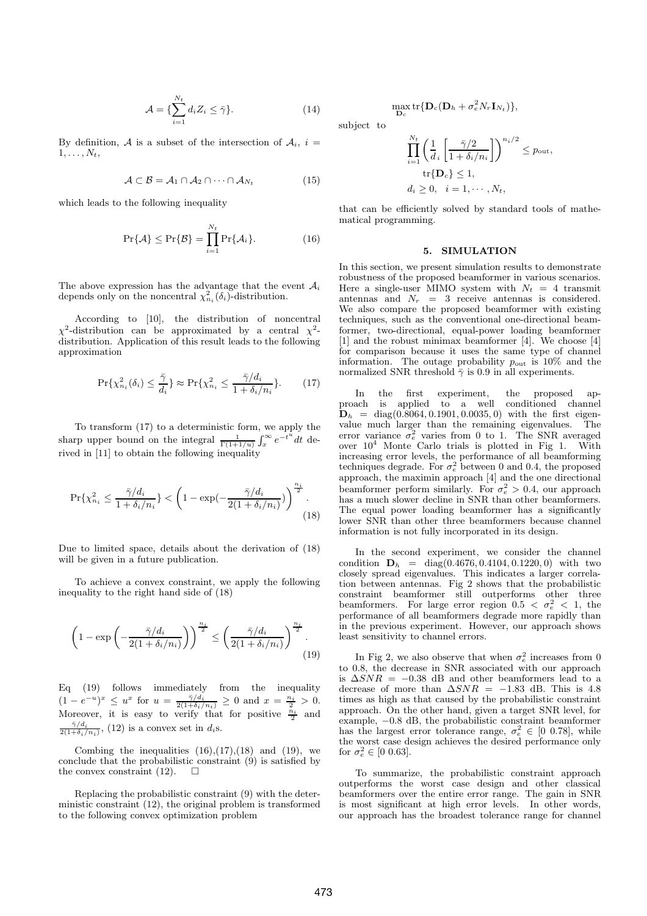$$
\mathcal{A} = \{ \sum_{i=1}^{N_t} d_i Z_i \le \bar{\gamma} \}. \tag{14}
$$

By definition, A is a subset of the intersection of  $A_i$ ,  $i =$  $1, \ldots, N_t$ ,

$$
\mathcal{A} \subset \mathcal{B} = \mathcal{A}_1 \cap \mathcal{A}_2 \cap \cdots \cap \mathcal{A}_{N_t} \tag{15}
$$

which leads to the following inequality

$$
\Pr\{\mathcal{A}\} \le \Pr\{\mathcal{B}\} = \prod_{i=1}^{N_t} \Pr\{\mathcal{A}_i\}.
$$
 (16)

The above expression has the advantage that the event  $A_i$ depends only on the noncentral  $\chi^2_{n_i}(\delta_i)$ -distribution.

According to [10], the distribution of noncentral χ <sup>2</sup>-distribution can be approximated by a central  $\chi^2$ distribution. Application of this result leads to the following approximation

$$
\Pr\{\chi_{n_i}^2(\delta_i) \le \frac{\bar{\gamma}}{d_i}\} \approx \Pr\{\chi_{n_i}^2 \le \frac{\bar{\gamma}/d_i}{1 + \delta_i/n_i}\}.
$$
 (17)

To transform (17) to a deterministic form, we apply the sharp upper bound on the integral  $\frac{1}{\Gamma(1+1/u)} \int_x^{\infty} e^{-t^u} dx$ ∞  $\int_x^{\infty} e^{-t^u} dt$  derived in [11] to obtain the following inequality

$$
\Pr\{\chi_{n_i}^2 \le \frac{\bar{\gamma}/d_i}{1 + \delta_i/n_i}\} < \left(1 - \exp\left(-\frac{\bar{\gamma}/d_i}{2(1 + \delta_i/n_i)}\right)\right)^{\frac{n_i}{2}}.\tag{18}
$$

Due to limited space, details about the derivation of (18) will be given in a future publication.

To achieve a convex constraint, we apply the following inequality to the right hand side of (18)

$$
\left(1 - \exp\left(-\frac{\bar{\gamma}/d_i}{2(1+\delta_i/n_i)}\right)\right)^{\frac{n_i}{2}} \le \left(\frac{\bar{\gamma}/d_i}{2(1+\delta_i/n_i)}\right)^{\frac{n_i}{2}}.\n\text{ in } (19)
$$

Eq (19) follows immediately from the inequality  $(1-e^{-u})^x \leq u^x$  for  $u = \frac{\bar{\gamma}/d_i}{2(1+\delta_i/n_i)} \geq 0$  and  $x = \frac{n_i}{2} > 0$ . Moreover, it is easy to verify that for positive  $\frac{n_i}{2}$  and  $\frac{\bar{\gamma}/d_i}{2(1+\delta_i/n_i)},$  (12) is a convex set in  $d_i$ s.

Combing the inequalities  $(16),(17),(18)$  and  $(19)$ , we conclude that the probabilistic constraint (9) is satisfied by the convex constraint (12) the convex constraint (12).

Replacing the probabilistic constraint (9) with the deterministic constraint (12), the original problem is transformed to the following convex optimization problem

 $\max_{\mathbf{D}_c} \text{tr}\{\mathbf{D}_c(\mathbf{D}_h + \sigma_e^2 N_r \mathbf{I}_{N_t})\},$ 

subject to

$$
\prod_{i=1}^{N_t} \left( \frac{1}{d_i} \left[ \frac{\bar{\gamma}/2}{1 + \delta_i/n_i} \right] \right)^{n_i/2} \le p_{\text{out}},
$$
  
tr $\{ \mathbf{D}_c \} \le 1,$   
 $d_i \ge 0, \quad i = 1, \dots, N_t,$ 

that can be efficiently solved by standard tools of mathematical programming.

## 5. SIMULATION

In this section, we present simulation results to demonstrate robustness of the proposed beamformer in various scenarios. Here a single-user MIMO system with  $N_t = 4$  transmit antennas and  $N_r = 3$  receive antennas is considered. We also compare the proposed beamformer with existing techniques, such as the conventional one-directional beamformer, two-directional, equal-power loading beamformer [1] and the robust minimax beamformer [4]. We choose [4] for comparison because it uses the same type of channel information. The outage probability  $p_{\text{out}}$  is 10% and the normalized SNR threshold  $\bar{\gamma}$  is 0.9 in all experiments.

 $\gamma$  (18) The equal power loading beamformer has a significantly In the first experiment, the proposed approach is applied to a well conditioned channel  $D_h$  = diag(0.8064, 0.1901, 0.0035, 0) with the first eigenvalue much larger than the remaining eigenvalues. The error variance  $\sigma_e^2$  varies from 0 to 1. The SNR averaged over  $10^4$  Monte Carlo trials is plotted in Fig 1. With increasing error levels, the performance of all beamforming techniques degrade. For  $\sigma_e^2$  between 0 and 0.4, the proposed approach, the maximin approach [4] and the one directional beamformer perform similarly. For  $\sigma_e^2 > 0.4$ , our approach has a much slower decline in SNR than other beamformers. lower SNR than other three beamformers because channel information is not fully incorporated in its design.

> In the second experiment, we consider the channel condition  $D_h$  = diag(0.4676, 0.4104, 0.1220, 0) with two closely spread eigenvalues. This indicates a larger correlation between antennas. Fig 2 shows that the probabilistic constraint beamformer still outperforms other three beamformers. For large error region  $0.5 < \sigma_e^2 < 1$ , the performance of all beamformers degrade more rapidly than in the previous experiment. However, our approach shows least sensitivity to channel errors.

> In Fig 2, we also observe that when  $\sigma_e^2$  increases from 0 to 0.8, the decrease in SNR associated with our approach is  $\Delta SNR = -0.38$  dB and other beamformers lead to a decrease of more than  $\Delta SNR = -1.83$  dB. This is 4.8 times as high as that caused by the probabilistic constraint approach. On the other hand, given a target SNR level, for example, −0.8 dB, the probabilistic constraint beamformer has the largest error tolerance range,  $\sigma_e^2 \in [0, 0.78]$ , while the worst case design achieves the desired performance only for  $\sigma_e^2 \in [0 \; 0.63]$ .

> To summarize, the probabilistic constraint approach outperforms the worst case design and other classical beamformers over the entire error range. The gain in SNR is most significant at high error levels. In other words, our approach has the broadest tolerance range for channel